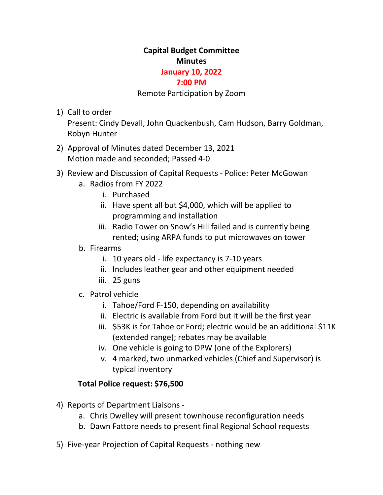# **Capital Budget Committee Minutes**

### **January 10, 2022**

### **7:00 PM**

#### Remote Participation by Zoom

1) Call to order

Present: Cindy Devall, John Quackenbush, Cam Hudson, Barry Goldman, Robyn Hunter

- 2) Approval of Minutes dated December 13, 2021 Motion made and seconded; Passed 4-0
- 3) Review and Discussion of Capital Requests Police: Peter McGowan
	- a. Radios from FY 2022
		- i. Purchased
		- ii. Have spent all but \$4,000, which will be applied to programming and installation
		- iii. Radio Tower on Snow's Hill failed and is currently being rented; using ARPA funds to put microwaves on tower
	- b. Firearms
		- i. 10 years old life expectancy is 7-10 years
		- ii. Includes leather gear and other equipment needed
		- iii. 25 guns
	- c. Patrol vehicle
		- i. Tahoe/Ford F-150, depending on availability
		- ii. Electric is available from Ford but it will be the first year
		- iii. \$53K is for Tahoe or Ford; electric would be an additional \$11K (extended range); rebates may be available
		- iv. One vehicle is going to DPW (one of the Explorers)
		- v. 4 marked, two unmarked vehicles (Chief and Supervisor) is typical inventory

# **Total Police request: \$76,500**

- 4) Reports of Department Liaisons
	- a. Chris Dwelley will present townhouse reconfiguration needs
	- b. Dawn Fattore needs to present final Regional School requests
- 5) Five-year Projection of Capital Requests nothing new